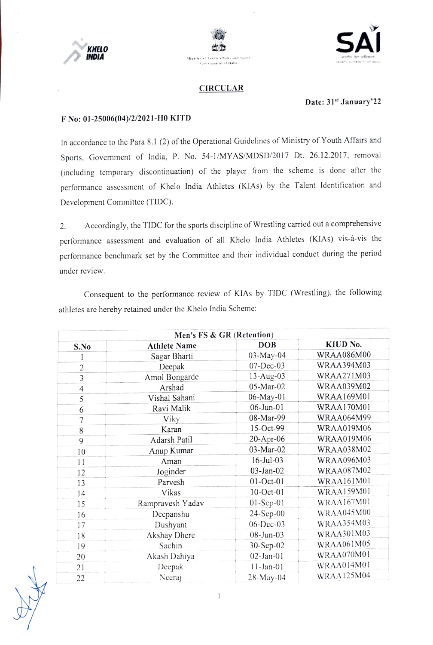

XX





## CIRCULAR

## Date: 31<sup>st</sup> January'22

## F No: 01-25006(04)/2/2021-H0 KITD

In accordance to the Para 8.1 (2) of the Operational Guidelines of Ministry of Youth Afairs and Sports, Government of India, P. No. 54-1/MYAS/MDSD/2017 Dt. 26.12.2017, removal (including tcmporary discontinuation) of the player from the scheme is done after the performance assessment of Khelo India Athletes (KIAs) by the Talent ldentification and Development Committee (TIDC).

2. Accordingly, the TIDC for the sports discipline of Wrestling carried out a comprehensive performance assessment and evaluation of all Khelo India Athletes (KIAs) vis-à-vis the performance benchmark set by the Committee and their individual conduct during the period under review.

Consequent to the performance revicw of KIAs by TIDC (Wrestling), the following athlctes are hereby retained under the Khclo India Scheme:

| Men's FS & GR (Retention) |                     |              |                   |  |  |
|---------------------------|---------------------|--------------|-------------------|--|--|
| S.No                      | <b>Athlete Name</b> | <b>DOB</b>   | KIUD No.          |  |  |
|                           | Sagar Bharti        | 03-May-04    | <b>WRAA086M00</b> |  |  |
| $\overline{2}$            | Deepak              | 07-Dec-03    | WRAA394M03        |  |  |
| $\overline{3}$            | Amol Bongarde       | 13-Aug-03    | WRAA271M03        |  |  |
| 4                         | Arshad              | 05-Mar-02    | <b>WRAA039M02</b> |  |  |
| 5                         | Vishal Sahani       | 06-May-01    | WRAA169M01        |  |  |
| 6                         | Ravi Malik          | 06-Jun-01    | WRAA170M01        |  |  |
| 7                         | Viky                | 08-Mar-99    | WRAA064M99        |  |  |
| 8                         | Karan               | 15-Oct-99    | WRAA019M06        |  |  |
| $\overline{9}$            | Adarsh Patil        | 20-Apr-06    | WRAA019M06        |  |  |
| 10                        | Anup Kumar          | 03-Mar-02    | <b>WRAA038M02</b> |  |  |
| 11                        | Aman                | $16$ -Jul-03 | WRAA096M03        |  |  |
| 12                        | Joginder            | 03-Jan-02    | WRAA087M02        |  |  |
| 13                        | Parvesh             | $01$ -Oct-01 | WRAA161M01        |  |  |
| 14                        | Vikas               | $10$ -Oct-01 | WRAA159M01        |  |  |
| 15                        | Rampravesh Yadav    | $01-Sep-01$  | WRAA167M01        |  |  |
| 16                        | Deepanshu           | 24-Sep-00    | WRAA045M00        |  |  |
| 17                        | Dushyant            | 06-Dec-03    | WRAA354M03        |  |  |
| 18                        | Akshay Dhere        | $08-Jun-03$  | WRAA301M03        |  |  |
| 19                        | Sachin              | 30-Sep-02    | WRAA061M05        |  |  |
| 20                        | Akash Dahiya        | $02$ -Jan-01 | WRAA070M01        |  |  |
| 21                        | Deepak              | $11$ -Jan-01 | WRAA014M01        |  |  |
| 22                        | Neeraj              | $28-May-04$  | WRAA125M04        |  |  |

 $\,$   $\,$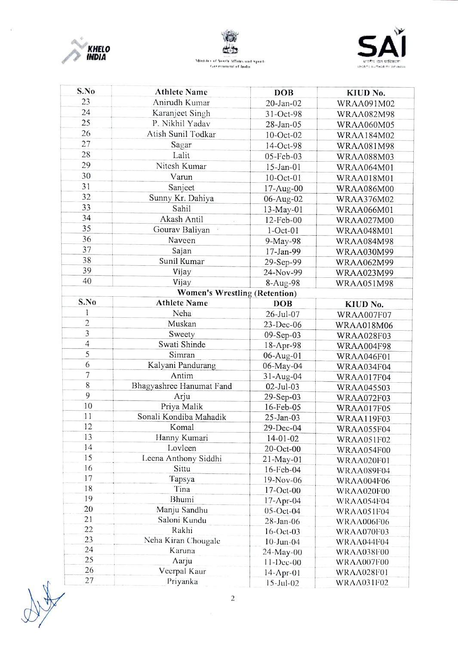

 $\overline{\phantom{a}}$ 





| 23<br>Anirudh Kumar<br>$20$ -Jan- $02$<br>WRAA091M02<br>24<br>Karanject Singh<br>31-Oct-98<br><b>WRAA082M98</b><br>25<br>P. Nikhil Yadav<br>28-Jan-05<br><b>WRAA060M05</b><br>26<br>Atish Sunil Todkar<br>10-Oct-02<br><b>WRAA184M02</b><br>27<br>Sagar<br>14-Oct-98<br><b>WRAA081M98</b><br>28<br>Lalit<br>05-Feb-03<br><b>WRAA088M03</b><br>29<br>Nitesh Kumar<br>$15$ -Jan-01<br><b>WRAA064M01</b><br>30<br>Varun<br>$10$ -Oct-01<br><b>WRAA018M01</b><br>31<br>Sanjeet<br>17-Aug-00<br><b>WRAA086M00</b><br>32<br>Sunny Kr. Dahiya<br>06-Aug-02<br><b>WRAA376M02</b><br>33<br>Sahil<br>13-May-01<br>WRAA066M01<br>34<br>Akash Antil<br>12-Feb-00<br><b>WRAA027M00</b><br>35<br>Gourav Baliyan<br>$1-Oct-01$<br>WRAA048M01<br>36<br>Naveen<br>9-May-98<br><b>WRAA084M98</b><br>37<br>Sajan<br>17-Jan-99<br>WRAA030M99<br>38<br>Sunil Kumar<br>29-Sep-99<br>WRAA062M99<br>39<br>Vijay<br>24-Nov-99<br>WRAA023M99<br>40<br>Vijay<br>8-Aug-98<br><b>WRAA051M98</b><br><b>Women's Wrestling (Retention)</b><br>S.No<br><b>Athlete Name</b><br><b>DOB</b><br>KIUD No.<br>1<br>Neha<br>26-Jul-07<br>WRAA007F07<br>$\overline{c}$<br>Muskan<br>23-Dec-06<br><b>WRAA018M06</b><br>3<br>Sweety<br>09-Sep-03<br><b>WRAA028F03</b><br>$\overline{4}$<br>Swati Shinde<br>18-Apr-98<br><b>WRAA004F98</b><br>5<br>Simran<br>06-Aug-01<br>WRAA046F01<br>6<br>Kalyani Pandurang<br>06-May-04<br>WRAA034F04<br>7<br>Antim<br>$31 - Aug-04$<br>WRAA017F04<br>8<br>Bhagyashree Hanumat Fand<br>02-Jul-03<br><b>WRAA045503</b><br>9<br>Arju<br>29-Sep-03<br>WRAA072F03<br>10<br>Priya Malik<br>16-Feb-05<br>WRAA017F05<br>11<br>Sonali Kondiba Mahadik<br>25-Jan-03<br><b>WRAA119F03</b><br>12<br>Komal<br>29-Dec-04<br>WRAA055F04<br>13<br>Hanny Kumari<br>$14 - 01 - 02$<br><b>WRAA051F02</b><br>14<br>Lovleen<br>20-Oct-00<br>WRAA054F00<br>15<br>Leena Anthony Siddhi<br>$21 - May - 01$<br>WRAA020F01<br>16<br>Sittu<br>16-Feb-04<br>WRAA089F04<br>17<br>Tapsya<br>19-Nov-06<br>WRAA004F06<br>18<br>Tina<br>17-Oct-00<br>WRAA020F00<br>19<br>Bhumi<br>$17-Apr-04$<br>WRAA054F04<br>20<br>Manju Sandhu<br>$05$ -Oct-04<br>WRAA051F04<br>21<br>Saloni Kundu<br>28-Jan-06<br>WRAA006F06<br>22<br>Rakhi<br>$16$ -Oct-03<br>WRAA070F03<br>23<br>Neha Kiran Chougale<br>$10$ -Jun- $04$<br>WRAA044F04<br>24<br>Karuna<br>24-May-00<br>WRAA038F00<br>25<br>Aarju<br>$11 - Dec-00$<br>WRAA007F00<br>26<br>Veerpal Kaur<br>$14$ -Apr-01<br>WRAA028F01 | S.No | <b>Athlete Name</b> | <b>DOB</b>   | KIUD No.   |  |  |
|----------------------------------------------------------------------------------------------------------------------------------------------------------------------------------------------------------------------------------------------------------------------------------------------------------------------------------------------------------------------------------------------------------------------------------------------------------------------------------------------------------------------------------------------------------------------------------------------------------------------------------------------------------------------------------------------------------------------------------------------------------------------------------------------------------------------------------------------------------------------------------------------------------------------------------------------------------------------------------------------------------------------------------------------------------------------------------------------------------------------------------------------------------------------------------------------------------------------------------------------------------------------------------------------------------------------------------------------------------------------------------------------------------------------------------------------------------------------------------------------------------------------------------------------------------------------------------------------------------------------------------------------------------------------------------------------------------------------------------------------------------------------------------------------------------------------------------------------------------------------------------------------------------------------------------------------------------------------------------------------------------------------------------------------------------------------------------------------------------------------------------------------------------------------------------------------------------------------------------------------------------------------------------------------------------------------------------------------------------------------------------------------------------------------------------|------|---------------------|--------------|------------|--|--|
|                                                                                                                                                                                                                                                                                                                                                                                                                                                                                                                                                                                                                                                                                                                                                                                                                                                                                                                                                                                                                                                                                                                                                                                                                                                                                                                                                                                                                                                                                                                                                                                                                                                                                                                                                                                                                                                                                                                                                                                                                                                                                                                                                                                                                                                                                                                                                                                                                                  |      |                     |              |            |  |  |
|                                                                                                                                                                                                                                                                                                                                                                                                                                                                                                                                                                                                                                                                                                                                                                                                                                                                                                                                                                                                                                                                                                                                                                                                                                                                                                                                                                                                                                                                                                                                                                                                                                                                                                                                                                                                                                                                                                                                                                                                                                                                                                                                                                                                                                                                                                                                                                                                                                  |      |                     |              |            |  |  |
|                                                                                                                                                                                                                                                                                                                                                                                                                                                                                                                                                                                                                                                                                                                                                                                                                                                                                                                                                                                                                                                                                                                                                                                                                                                                                                                                                                                                                                                                                                                                                                                                                                                                                                                                                                                                                                                                                                                                                                                                                                                                                                                                                                                                                                                                                                                                                                                                                                  |      |                     |              |            |  |  |
|                                                                                                                                                                                                                                                                                                                                                                                                                                                                                                                                                                                                                                                                                                                                                                                                                                                                                                                                                                                                                                                                                                                                                                                                                                                                                                                                                                                                                                                                                                                                                                                                                                                                                                                                                                                                                                                                                                                                                                                                                                                                                                                                                                                                                                                                                                                                                                                                                                  |      |                     |              |            |  |  |
|                                                                                                                                                                                                                                                                                                                                                                                                                                                                                                                                                                                                                                                                                                                                                                                                                                                                                                                                                                                                                                                                                                                                                                                                                                                                                                                                                                                                                                                                                                                                                                                                                                                                                                                                                                                                                                                                                                                                                                                                                                                                                                                                                                                                                                                                                                                                                                                                                                  |      |                     |              |            |  |  |
|                                                                                                                                                                                                                                                                                                                                                                                                                                                                                                                                                                                                                                                                                                                                                                                                                                                                                                                                                                                                                                                                                                                                                                                                                                                                                                                                                                                                                                                                                                                                                                                                                                                                                                                                                                                                                                                                                                                                                                                                                                                                                                                                                                                                                                                                                                                                                                                                                                  |      |                     |              |            |  |  |
|                                                                                                                                                                                                                                                                                                                                                                                                                                                                                                                                                                                                                                                                                                                                                                                                                                                                                                                                                                                                                                                                                                                                                                                                                                                                                                                                                                                                                                                                                                                                                                                                                                                                                                                                                                                                                                                                                                                                                                                                                                                                                                                                                                                                                                                                                                                                                                                                                                  |      |                     |              |            |  |  |
|                                                                                                                                                                                                                                                                                                                                                                                                                                                                                                                                                                                                                                                                                                                                                                                                                                                                                                                                                                                                                                                                                                                                                                                                                                                                                                                                                                                                                                                                                                                                                                                                                                                                                                                                                                                                                                                                                                                                                                                                                                                                                                                                                                                                                                                                                                                                                                                                                                  |      |                     |              |            |  |  |
|                                                                                                                                                                                                                                                                                                                                                                                                                                                                                                                                                                                                                                                                                                                                                                                                                                                                                                                                                                                                                                                                                                                                                                                                                                                                                                                                                                                                                                                                                                                                                                                                                                                                                                                                                                                                                                                                                                                                                                                                                                                                                                                                                                                                                                                                                                                                                                                                                                  |      |                     |              |            |  |  |
|                                                                                                                                                                                                                                                                                                                                                                                                                                                                                                                                                                                                                                                                                                                                                                                                                                                                                                                                                                                                                                                                                                                                                                                                                                                                                                                                                                                                                                                                                                                                                                                                                                                                                                                                                                                                                                                                                                                                                                                                                                                                                                                                                                                                                                                                                                                                                                                                                                  |      |                     |              |            |  |  |
|                                                                                                                                                                                                                                                                                                                                                                                                                                                                                                                                                                                                                                                                                                                                                                                                                                                                                                                                                                                                                                                                                                                                                                                                                                                                                                                                                                                                                                                                                                                                                                                                                                                                                                                                                                                                                                                                                                                                                                                                                                                                                                                                                                                                                                                                                                                                                                                                                                  |      |                     |              |            |  |  |
|                                                                                                                                                                                                                                                                                                                                                                                                                                                                                                                                                                                                                                                                                                                                                                                                                                                                                                                                                                                                                                                                                                                                                                                                                                                                                                                                                                                                                                                                                                                                                                                                                                                                                                                                                                                                                                                                                                                                                                                                                                                                                                                                                                                                                                                                                                                                                                                                                                  |      |                     |              |            |  |  |
|                                                                                                                                                                                                                                                                                                                                                                                                                                                                                                                                                                                                                                                                                                                                                                                                                                                                                                                                                                                                                                                                                                                                                                                                                                                                                                                                                                                                                                                                                                                                                                                                                                                                                                                                                                                                                                                                                                                                                                                                                                                                                                                                                                                                                                                                                                                                                                                                                                  |      |                     |              |            |  |  |
|                                                                                                                                                                                                                                                                                                                                                                                                                                                                                                                                                                                                                                                                                                                                                                                                                                                                                                                                                                                                                                                                                                                                                                                                                                                                                                                                                                                                                                                                                                                                                                                                                                                                                                                                                                                                                                                                                                                                                                                                                                                                                                                                                                                                                                                                                                                                                                                                                                  |      |                     |              |            |  |  |
|                                                                                                                                                                                                                                                                                                                                                                                                                                                                                                                                                                                                                                                                                                                                                                                                                                                                                                                                                                                                                                                                                                                                                                                                                                                                                                                                                                                                                                                                                                                                                                                                                                                                                                                                                                                                                                                                                                                                                                                                                                                                                                                                                                                                                                                                                                                                                                                                                                  |      |                     |              |            |  |  |
|                                                                                                                                                                                                                                                                                                                                                                                                                                                                                                                                                                                                                                                                                                                                                                                                                                                                                                                                                                                                                                                                                                                                                                                                                                                                                                                                                                                                                                                                                                                                                                                                                                                                                                                                                                                                                                                                                                                                                                                                                                                                                                                                                                                                                                                                                                                                                                                                                                  |      |                     |              |            |  |  |
|                                                                                                                                                                                                                                                                                                                                                                                                                                                                                                                                                                                                                                                                                                                                                                                                                                                                                                                                                                                                                                                                                                                                                                                                                                                                                                                                                                                                                                                                                                                                                                                                                                                                                                                                                                                                                                                                                                                                                                                                                                                                                                                                                                                                                                                                                                                                                                                                                                  |      |                     |              |            |  |  |
|                                                                                                                                                                                                                                                                                                                                                                                                                                                                                                                                                                                                                                                                                                                                                                                                                                                                                                                                                                                                                                                                                                                                                                                                                                                                                                                                                                                                                                                                                                                                                                                                                                                                                                                                                                                                                                                                                                                                                                                                                                                                                                                                                                                                                                                                                                                                                                                                                                  |      |                     |              |            |  |  |
|                                                                                                                                                                                                                                                                                                                                                                                                                                                                                                                                                                                                                                                                                                                                                                                                                                                                                                                                                                                                                                                                                                                                                                                                                                                                                                                                                                                                                                                                                                                                                                                                                                                                                                                                                                                                                                                                                                                                                                                                                                                                                                                                                                                                                                                                                                                                                                                                                                  |      |                     |              |            |  |  |
|                                                                                                                                                                                                                                                                                                                                                                                                                                                                                                                                                                                                                                                                                                                                                                                                                                                                                                                                                                                                                                                                                                                                                                                                                                                                                                                                                                                                                                                                                                                                                                                                                                                                                                                                                                                                                                                                                                                                                                                                                                                                                                                                                                                                                                                                                                                                                                                                                                  |      |                     |              |            |  |  |
|                                                                                                                                                                                                                                                                                                                                                                                                                                                                                                                                                                                                                                                                                                                                                                                                                                                                                                                                                                                                                                                                                                                                                                                                                                                                                                                                                                                                                                                                                                                                                                                                                                                                                                                                                                                                                                                                                                                                                                                                                                                                                                                                                                                                                                                                                                                                                                                                                                  |      |                     |              |            |  |  |
|                                                                                                                                                                                                                                                                                                                                                                                                                                                                                                                                                                                                                                                                                                                                                                                                                                                                                                                                                                                                                                                                                                                                                                                                                                                                                                                                                                                                                                                                                                                                                                                                                                                                                                                                                                                                                                                                                                                                                                                                                                                                                                                                                                                                                                                                                                                                                                                                                                  |      |                     |              |            |  |  |
|                                                                                                                                                                                                                                                                                                                                                                                                                                                                                                                                                                                                                                                                                                                                                                                                                                                                                                                                                                                                                                                                                                                                                                                                                                                                                                                                                                                                                                                                                                                                                                                                                                                                                                                                                                                                                                                                                                                                                                                                                                                                                                                                                                                                                                                                                                                                                                                                                                  |      |                     |              |            |  |  |
|                                                                                                                                                                                                                                                                                                                                                                                                                                                                                                                                                                                                                                                                                                                                                                                                                                                                                                                                                                                                                                                                                                                                                                                                                                                                                                                                                                                                                                                                                                                                                                                                                                                                                                                                                                                                                                                                                                                                                                                                                                                                                                                                                                                                                                                                                                                                                                                                                                  |      |                     |              |            |  |  |
|                                                                                                                                                                                                                                                                                                                                                                                                                                                                                                                                                                                                                                                                                                                                                                                                                                                                                                                                                                                                                                                                                                                                                                                                                                                                                                                                                                                                                                                                                                                                                                                                                                                                                                                                                                                                                                                                                                                                                                                                                                                                                                                                                                                                                                                                                                                                                                                                                                  |      |                     |              |            |  |  |
|                                                                                                                                                                                                                                                                                                                                                                                                                                                                                                                                                                                                                                                                                                                                                                                                                                                                                                                                                                                                                                                                                                                                                                                                                                                                                                                                                                                                                                                                                                                                                                                                                                                                                                                                                                                                                                                                                                                                                                                                                                                                                                                                                                                                                                                                                                                                                                                                                                  |      |                     |              |            |  |  |
|                                                                                                                                                                                                                                                                                                                                                                                                                                                                                                                                                                                                                                                                                                                                                                                                                                                                                                                                                                                                                                                                                                                                                                                                                                                                                                                                                                                                                                                                                                                                                                                                                                                                                                                                                                                                                                                                                                                                                                                                                                                                                                                                                                                                                                                                                                                                                                                                                                  |      |                     |              |            |  |  |
|                                                                                                                                                                                                                                                                                                                                                                                                                                                                                                                                                                                                                                                                                                                                                                                                                                                                                                                                                                                                                                                                                                                                                                                                                                                                                                                                                                                                                                                                                                                                                                                                                                                                                                                                                                                                                                                                                                                                                                                                                                                                                                                                                                                                                                                                                                                                                                                                                                  |      |                     |              |            |  |  |
|                                                                                                                                                                                                                                                                                                                                                                                                                                                                                                                                                                                                                                                                                                                                                                                                                                                                                                                                                                                                                                                                                                                                                                                                                                                                                                                                                                                                                                                                                                                                                                                                                                                                                                                                                                                                                                                                                                                                                                                                                                                                                                                                                                                                                                                                                                                                                                                                                                  |      |                     |              |            |  |  |
|                                                                                                                                                                                                                                                                                                                                                                                                                                                                                                                                                                                                                                                                                                                                                                                                                                                                                                                                                                                                                                                                                                                                                                                                                                                                                                                                                                                                                                                                                                                                                                                                                                                                                                                                                                                                                                                                                                                                                                                                                                                                                                                                                                                                                                                                                                                                                                                                                                  |      |                     |              |            |  |  |
|                                                                                                                                                                                                                                                                                                                                                                                                                                                                                                                                                                                                                                                                                                                                                                                                                                                                                                                                                                                                                                                                                                                                                                                                                                                                                                                                                                                                                                                                                                                                                                                                                                                                                                                                                                                                                                                                                                                                                                                                                                                                                                                                                                                                                                                                                                                                                                                                                                  |      |                     |              |            |  |  |
|                                                                                                                                                                                                                                                                                                                                                                                                                                                                                                                                                                                                                                                                                                                                                                                                                                                                                                                                                                                                                                                                                                                                                                                                                                                                                                                                                                                                                                                                                                                                                                                                                                                                                                                                                                                                                                                                                                                                                                                                                                                                                                                                                                                                                                                                                                                                                                                                                                  |      |                     |              |            |  |  |
|                                                                                                                                                                                                                                                                                                                                                                                                                                                                                                                                                                                                                                                                                                                                                                                                                                                                                                                                                                                                                                                                                                                                                                                                                                                                                                                                                                                                                                                                                                                                                                                                                                                                                                                                                                                                                                                                                                                                                                                                                                                                                                                                                                                                                                                                                                                                                                                                                                  |      |                     |              |            |  |  |
|                                                                                                                                                                                                                                                                                                                                                                                                                                                                                                                                                                                                                                                                                                                                                                                                                                                                                                                                                                                                                                                                                                                                                                                                                                                                                                                                                                                                                                                                                                                                                                                                                                                                                                                                                                                                                                                                                                                                                                                                                                                                                                                                                                                                                                                                                                                                                                                                                                  |      |                     |              |            |  |  |
|                                                                                                                                                                                                                                                                                                                                                                                                                                                                                                                                                                                                                                                                                                                                                                                                                                                                                                                                                                                                                                                                                                                                                                                                                                                                                                                                                                                                                                                                                                                                                                                                                                                                                                                                                                                                                                                                                                                                                                                                                                                                                                                                                                                                                                                                                                                                                                                                                                  |      |                     |              |            |  |  |
|                                                                                                                                                                                                                                                                                                                                                                                                                                                                                                                                                                                                                                                                                                                                                                                                                                                                                                                                                                                                                                                                                                                                                                                                                                                                                                                                                                                                                                                                                                                                                                                                                                                                                                                                                                                                                                                                                                                                                                                                                                                                                                                                                                                                                                                                                                                                                                                                                                  |      |                     |              |            |  |  |
|                                                                                                                                                                                                                                                                                                                                                                                                                                                                                                                                                                                                                                                                                                                                                                                                                                                                                                                                                                                                                                                                                                                                                                                                                                                                                                                                                                                                                                                                                                                                                                                                                                                                                                                                                                                                                                                                                                                                                                                                                                                                                                                                                                                                                                                                                                                                                                                                                                  |      |                     |              |            |  |  |
|                                                                                                                                                                                                                                                                                                                                                                                                                                                                                                                                                                                                                                                                                                                                                                                                                                                                                                                                                                                                                                                                                                                                                                                                                                                                                                                                                                                                                                                                                                                                                                                                                                                                                                                                                                                                                                                                                                                                                                                                                                                                                                                                                                                                                                                                                                                                                                                                                                  |      |                     |              |            |  |  |
|                                                                                                                                                                                                                                                                                                                                                                                                                                                                                                                                                                                                                                                                                                                                                                                                                                                                                                                                                                                                                                                                                                                                                                                                                                                                                                                                                                                                                                                                                                                                                                                                                                                                                                                                                                                                                                                                                                                                                                                                                                                                                                                                                                                                                                                                                                                                                                                                                                  |      |                     |              |            |  |  |
|                                                                                                                                                                                                                                                                                                                                                                                                                                                                                                                                                                                                                                                                                                                                                                                                                                                                                                                                                                                                                                                                                                                                                                                                                                                                                                                                                                                                                                                                                                                                                                                                                                                                                                                                                                                                                                                                                                                                                                                                                                                                                                                                                                                                                                                                                                                                                                                                                                  |      |                     |              |            |  |  |
|                                                                                                                                                                                                                                                                                                                                                                                                                                                                                                                                                                                                                                                                                                                                                                                                                                                                                                                                                                                                                                                                                                                                                                                                                                                                                                                                                                                                                                                                                                                                                                                                                                                                                                                                                                                                                                                                                                                                                                                                                                                                                                                                                                                                                                                                                                                                                                                                                                  |      |                     |              |            |  |  |
|                                                                                                                                                                                                                                                                                                                                                                                                                                                                                                                                                                                                                                                                                                                                                                                                                                                                                                                                                                                                                                                                                                                                                                                                                                                                                                                                                                                                                                                                                                                                                                                                                                                                                                                                                                                                                                                                                                                                                                                                                                                                                                                                                                                                                                                                                                                                                                                                                                  |      |                     |              |            |  |  |
|                                                                                                                                                                                                                                                                                                                                                                                                                                                                                                                                                                                                                                                                                                                                                                                                                                                                                                                                                                                                                                                                                                                                                                                                                                                                                                                                                                                                                                                                                                                                                                                                                                                                                                                                                                                                                                                                                                                                                                                                                                                                                                                                                                                                                                                                                                                                                                                                                                  |      |                     |              |            |  |  |
|                                                                                                                                                                                                                                                                                                                                                                                                                                                                                                                                                                                                                                                                                                                                                                                                                                                                                                                                                                                                                                                                                                                                                                                                                                                                                                                                                                                                                                                                                                                                                                                                                                                                                                                                                                                                                                                                                                                                                                                                                                                                                                                                                                                                                                                                                                                                                                                                                                  |      |                     |              |            |  |  |
|                                                                                                                                                                                                                                                                                                                                                                                                                                                                                                                                                                                                                                                                                                                                                                                                                                                                                                                                                                                                                                                                                                                                                                                                                                                                                                                                                                                                                                                                                                                                                                                                                                                                                                                                                                                                                                                                                                                                                                                                                                                                                                                                                                                                                                                                                                                                                                                                                                  |      |                     |              |            |  |  |
|                                                                                                                                                                                                                                                                                                                                                                                                                                                                                                                                                                                                                                                                                                                                                                                                                                                                                                                                                                                                                                                                                                                                                                                                                                                                                                                                                                                                                                                                                                                                                                                                                                                                                                                                                                                                                                                                                                                                                                                                                                                                                                                                                                                                                                                                                                                                                                                                                                  | 27   | Priyanka            | $15$ -Jul-02 | WRAA031F02 |  |  |

 $\mathscr{N}$